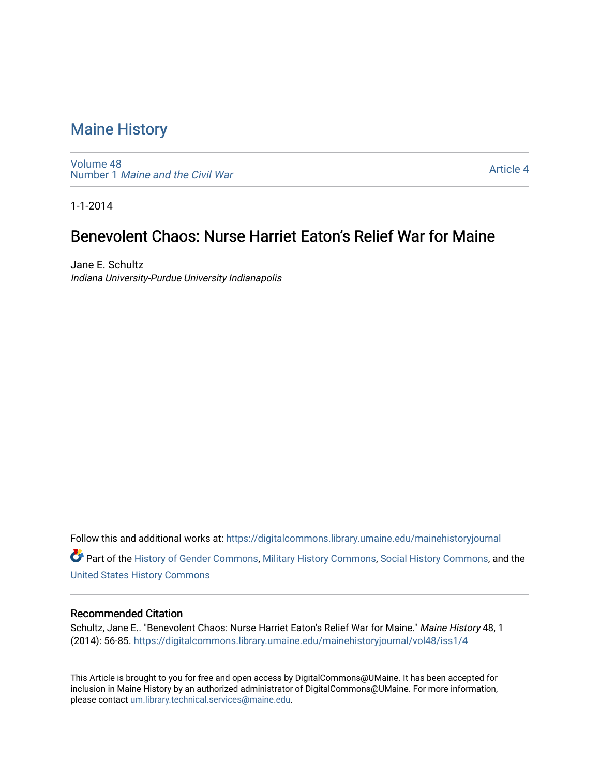[Volume 48](https://digitalcommons.library.umaine.edu/mainehistoryjournal/vol48) Number 1 [Maine and the Civil War](https://digitalcommons.library.umaine.edu/mainehistoryjournal/vol48/iss1)

[Article 4](https://digitalcommons.library.umaine.edu/mainehistoryjournal/vol48/iss1/4) 

1-1-2014

## Benevolent Chaos: Nurse Harriet Eaton's Relief War for Maine

Jane E. Schultz Indiana University-Purdue University Indianapolis

Follow this and additional works at: [https://digitalcommons.library.umaine.edu/mainehistoryjournal](https://digitalcommons.library.umaine.edu/mainehistoryjournal?utm_source=digitalcommons.library.umaine.edu%2Fmainehistoryjournal%2Fvol48%2Fiss1%2F4&utm_medium=PDF&utm_campaign=PDFCoverPages) 

Part of the [History of Gender Commons,](http://network.bepress.com/hgg/discipline/498?utm_source=digitalcommons.library.umaine.edu%2Fmainehistoryjournal%2Fvol48%2Fiss1%2F4&utm_medium=PDF&utm_campaign=PDFCoverPages) [Military History Commons,](http://network.bepress.com/hgg/discipline/504?utm_source=digitalcommons.library.umaine.edu%2Fmainehistoryjournal%2Fvol48%2Fiss1%2F4&utm_medium=PDF&utm_campaign=PDFCoverPages) [Social History Commons](http://network.bepress.com/hgg/discipline/506?utm_source=digitalcommons.library.umaine.edu%2Fmainehistoryjournal%2Fvol48%2Fiss1%2F4&utm_medium=PDF&utm_campaign=PDFCoverPages), and the [United States History Commons](http://network.bepress.com/hgg/discipline/495?utm_source=digitalcommons.library.umaine.edu%2Fmainehistoryjournal%2Fvol48%2Fiss1%2F4&utm_medium=PDF&utm_campaign=PDFCoverPages)

#### Recommended Citation

Schultz, Jane E.. "Benevolent Chaos: Nurse Harriet Eaton's Relief War for Maine." Maine History 48, 1 (2014): 56-85. [https://digitalcommons.library.umaine.edu/mainehistoryjournal/vol48/iss1/4](https://digitalcommons.library.umaine.edu/mainehistoryjournal/vol48/iss1/4?utm_source=digitalcommons.library.umaine.edu%2Fmainehistoryjournal%2Fvol48%2Fiss1%2F4&utm_medium=PDF&utm_campaign=PDFCoverPages) 

This Article is brought to you for free and open access by DigitalCommons@UMaine. It has been accepted for inclusion in Maine History by an authorized administrator of DigitalCommons@UMaine. For more information, please contact [um.library.technical.services@maine.edu.](mailto:um.library.technical.services@maine.edu)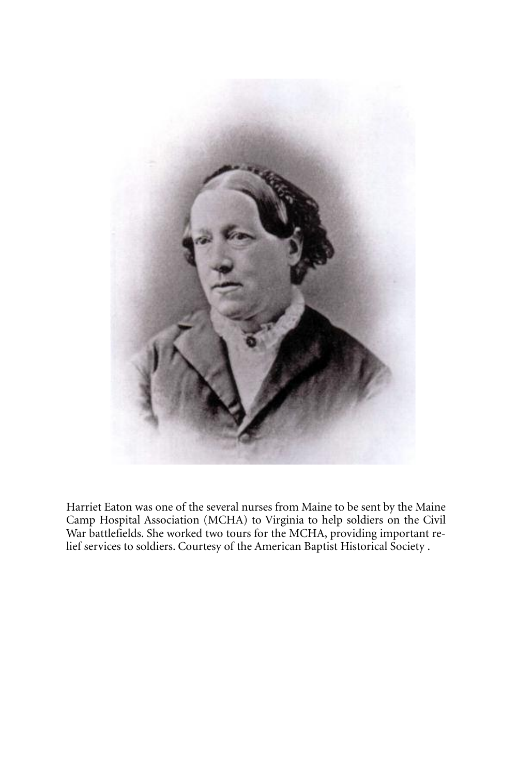

Harriet Eaton was one of the several nurses from Maine to be sent by the Maine Camp Hospital Association (MCHA) to Virginia to help soldiers on the Civil War battlefields. She worked two tours for the MCHA, providing important relief services to soldiers. Courtesy of the American Baptist Historical Society .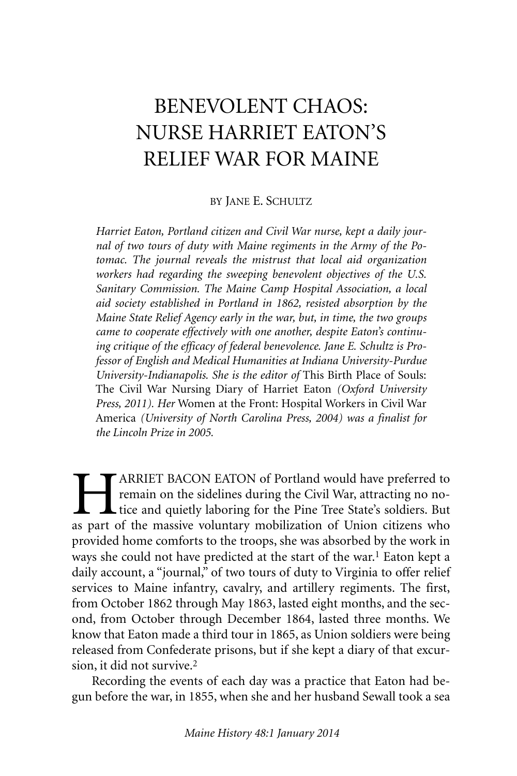# BENEVOLENT CHAOS: NURSE HARRIET EATON'S RELIEF WAR FOR MAINE

#### BY JANE E. SCHULTZ

*Harriet Eaton, Portland citizen and Civil War nurse, kept a daily journal of two tours of duty with Maine regiments in the Army of the Potomac. The journal reveals the mistrust that local aid organization workers had regarding the sweeping benevolent objectives of the U.S. Sanitary Commission. The Maine Camp Hospital Association, a local aid society established in Portland in 1862, resisted absorption by the Maine State Relief Agency early in the war, but, in time, the two groups came to cooperate effectively with one another, despite Eaton's continuing critique of the efficacy of federal benevolence. Jane E. Schultz is Professor of English and Medical Humanities at Indiana University-Purdue University-Indianapolis. She is the editor of* This Birth Place of Souls: The Civil War Nursing Diary of Harriet Eaton *(Oxford University Press, 2011). Her* Women at the Front: Hospital Workers in Civil War America *(University of North Carolina Press, 2004) was a finalist for the Lincoln Prize in 2005.*

**HARRIET BACON EATON of Portland would have preferred to**<br>remain on the sidelines during the Civil War, attracting no no-<br>tice and quietly laboring for the Pine Tree State's soldiers. But<br>as part of the massive voluntary m remain on the sidelines during the Civil War, attracting no notice and quietly laboring for the Pine Tree State's soldiers. But as part of the massive voluntary mobilization of Union citizens who provided home comforts to the troops, she was absorbed by the work in ways she could not have predicted at the start of the war. 1 Eaton kept a daily account, a "journal," of two tours of duty to Virginia to offer relief services to Maine infantry, cavalry, and artillery regiments. The first, from October 1862 through May 1863, lasted eight months, and the second, from October through December 1864, lasted three months. We know that Eaton made a third tour in 1865, as Union soldiers were being released from Confederate prisons, but if she kept a diary of that excursion, it did not survive. 2

Recording the events of each day was a practice that Eaton had begun before the war, in 1855, when she and her husband Sewall took a sea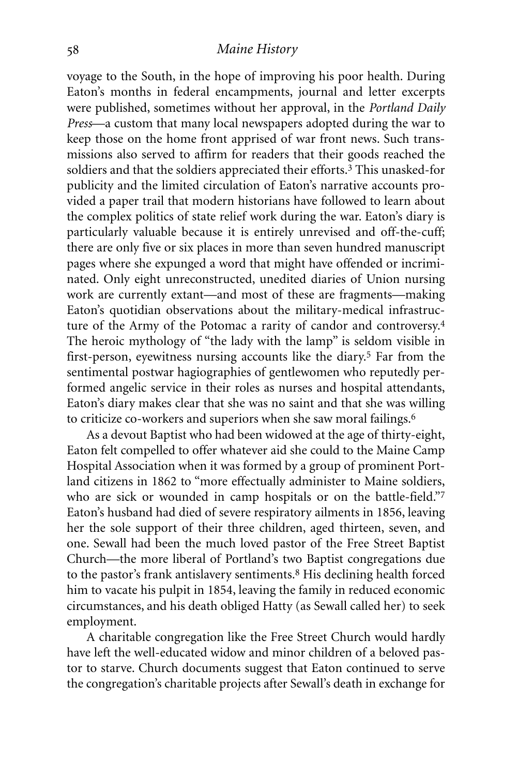voyage to the South, in the hope of improving his poor health. During Eaton's months in federal encampments, journal and letter excerpts were published, sometimes without her approval, in the *Portland Daily Press*—a custom that many local newspapers adopted during the war to keep those on the home front apprised of war front news. Such transmissions also served to affirm for readers that their goods reached the soldiers and that the soldiers appreciated their efforts. 3 This unasked-for publicity and the limited circulation of Eaton's narrative accounts provided a paper trail that modern historians have followed to learn about the complex politics of state relief work during the war. Eaton's diary is particularly valuable because it is entirely unrevised and off-the-cuff; there are only five or six places in more than seven hundred manuscript pages where she expunged a word that might have offended or incriminated. Only eight unreconstructed, unedited diaries of Union nursing work are currently extant—and most of these are fragments—making Eaton's quotidian observations about the military-medical infrastructure of the Army of the Potomac a rarity of candor and controversy. 4 The heroic mythology of "the lady with the lamp" is seldom visible in first-person, eyewitness nursing accounts like the diary.5 Far from the sentimental postwar hagiographies of gentlewomen who reputedly performed angelic service in their roles as nurses and hospital attendants, Eaton's diary makes clear that she was no saint and that she was willing to criticize co-workers and superiors when she saw moral failings. 6

As a devout Baptist who had been widowed at the age of thirty-eight, Eaton felt compelled to offer whatever aid she could to the Maine Camp Hospital Association when it was formed by a group of prominent Portland citizens in 1862 to "more effectually administer to Maine soldiers, who are sick or wounded in camp hospitals or on the battle-field."7 Eaton's husband had died of severe respiratory ailments in 1856, leaving her the sole support of their three children, aged thirteen, seven, and one. Sewall had been the much loved pastor of the Free Street Baptist Church—the more liberal of Portland's two Baptist congregations due to the pastor's frank antislavery sentiments. 8 His declining health forced him to vacate his pulpit in 1854, leaving the family in reduced economic circumstances, and his death obliged Hatty (as Sewall called her) to seek employment.

A charitable congregation like the Free Street Church would hardly have left the well-educated widow and minor children of a beloved pastor to starve. Church documents suggest that Eaton continued to serve the congregation's charitable projects after Sewall's death in exchange for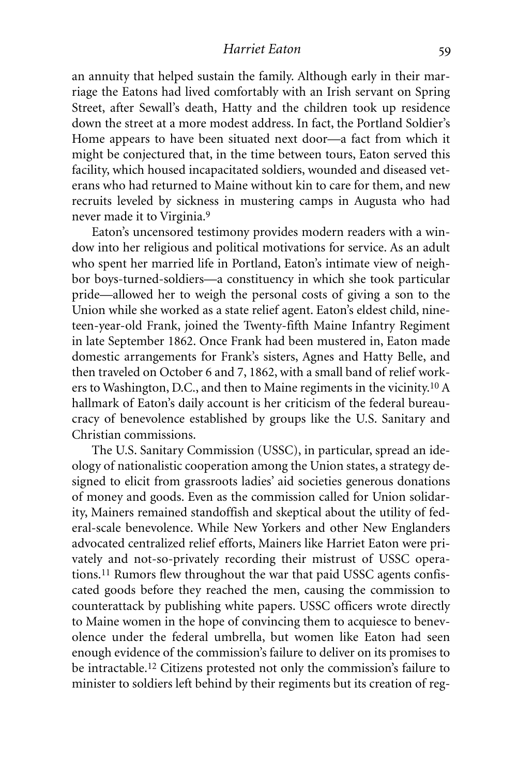an annuity that helped sustain the family. Although early in their marriage the Eatons had lived comfortably with an Irish servant on Spring Street, after Sewall's death, Hatty and the children took up residence down the street at a more modest address. In fact, the Portland Soldier's Home appears to have been situated next door—a fact from which it might be conjectured that, in the time between tours, Eaton served this facility, which housed incapacitated soldiers, wounded and diseased veterans who had returned to Maine without kin to care for them, and new recruits leveled by sickness in mustering camps in Augusta who had never made it to Virginia. 9

Eaton's uncensored testimony provides modern readers with a window into her religious and political motivations for service. As an adult who spent her married life in Portland, Eaton's intimate view of neighbor boys-turned-soldiers—a constituency in which she took particular pride—allowed her to weigh the personal costs of giving a son to the Union while she worked as a state relief agent. Eaton's eldest child, nineteen-year-old Frank, joined the Twenty-fifth Maine Infantry Regiment in late September 1862. Once Frank had been mustered in, Eaton made domestic arrangements for Frank's sisters, Agnes and Hatty Belle, and then traveled on October 6 and 7, 1862, with a small band of relief workers to Washington, D.C., and then to Maine regiments in the vicinity.10 A hallmark of Eaton's daily account is her criticism of the federal bureaucracy of benevolence established by groups like the U.S. Sanitary and Christian commissions.

The U.S. Sanitary Commission (USSC), in particular, spread an ideology of nationalistic cooperation among the Union states, a strategy designed to elicit from grassroots ladies' aid societies generous donations of money and goods. Even as the commission called for Union solidarity, Mainers remained standoffish and skeptical about the utility of federal-scale benevolence. While New Yorkers and other New Englanders advocated centralized relief efforts, Mainers like Harriet Eaton were privately and not-so-privately recording their mistrust of USSC operations. 11 Rumors flew throughout the war that paid USSC agents confiscated goods before they reached the men, causing the commission to counterattack by publishing white papers. USSC officers wrote directly to Maine women in the hope of convincing them to acquiesce to benevolence under the federal umbrella, but women like Eaton had seen enough evidence of the commission's failure to deliver on its promises to be intractable. 12 Citizens protested not only the commission's failure to minister to soldiers left behind by their regiments but its creation of reg-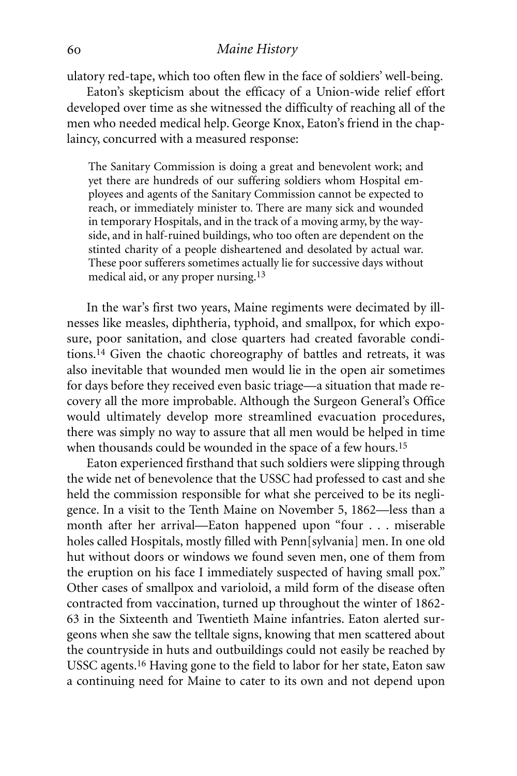ulatory red-tape, which too often flew in the face of soldiers' well-being.

Eaton's skepticism about the efficacy of a Union-wide relief effort developed over time as she witnessed the difficulty of reaching all of the men who needed medical help. George Knox, Eaton's friend in the chaplaincy, concurred with a measured response:

The Sanitary Commission is doing a great and benevolent work; and yet there are hundreds of our suffering soldiers whom Hospital employees and agents of the Sanitary Commission cannot be expected to reach, or immediately minister to. There are many sick and wounded in temporary Hospitals, and in the track of a moving army, by the wayside, and in half-ruined buildings, who too often are dependent on the stinted charity of a people disheartened and desolated by actual war. These poor sufferers sometimes actually lie for successive days without medical aid, or any proper nursing. 13

In the war's first two years, Maine regiments were decimated by illnesses like measles, diphtheria, typhoid, and smallpox, for which exposure, poor sanitation, and close quarters had created favorable conditions. 14 Given the chaotic choreography of battles and retreats, it was also inevitable that wounded men would lie in the open air sometimes for days before they received even basic triage—a situation that made recovery all the more improbable. Although the Surgeon General's Office would ultimately develop more streamlined evacuation procedures, there was simply no way to assure that all men would be helped in time when thousands could be wounded in the space of a few hours.<sup>15</sup>

Eaton experienced firsthand that such soldiers were slipping through the wide net of benevolence that the USSC had professed to cast and she held the commission responsible for what she perceived to be its negligence. In a visit to the Tenth Maine on November 5, 1862—less than a month after her arrival—Eaton happened upon "four . . . miserable holes called Hospitals, mostly filled with Penn[sylvania] men. In one old hut without doors or windows we found seven men, one of them from the eruption on his face I immediately suspected of having small pox." Other cases of smallpox and varioloid, a mild form of the disease often contracted from vaccination, turned up throughout the winter of 1862- 63 in the Sixteenth and Twentieth Maine infantries. Eaton alerted surgeons when she saw the telltale signs, knowing that men scattered about the countryside in huts and outbuildings could not easily be reached by USSC agents. 16 Having gone to the field to labor for her state, Eaton saw a continuing need for Maine to cater to its own and not depend upon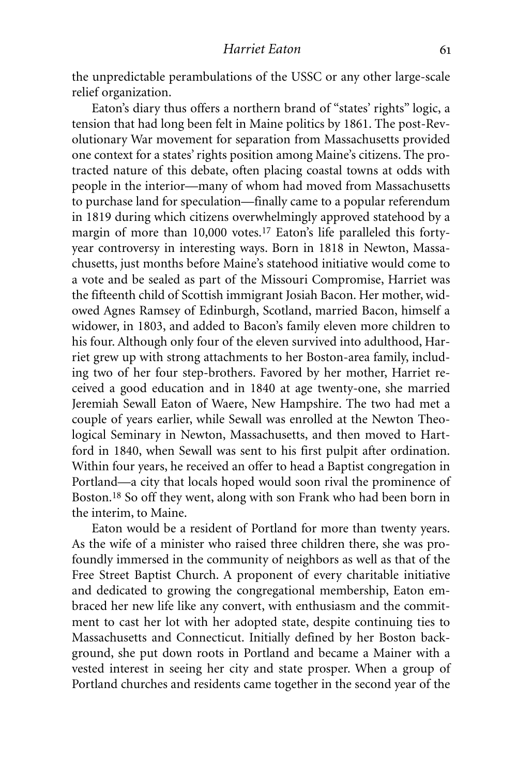the unpredictable perambulations of the USSC or any other large-scale relief organization.

Eaton's diary thus offers a northern brand of "states' rights" logic, a tension that had long been felt in Maine politics by 1861. The post-Revolutionary War movement for separation from Massachusetts provided one context for a states'rights position among Maine's citizens. The protracted nature of this debate, often placing coastal towns at odds with people in the interior—many of whom had moved from Massachusetts to purchase land for speculation—finally came to a popular referendum in 1819 during which citizens overwhelmingly approved statehood by a margin of more than 10,000 votes.17 Eaton's life paralleled this fortyyear controversy in interesting ways. Born in 1818 in Newton, Massachusetts, just months before Maine's statehood initiative would come to a vote and be sealed as part of the Missouri Compromise, Harriet was the fifteenth child of Scottish immigrant Josiah Bacon. Her mother, widowed Agnes Ramsey of Edinburgh, Scotland, married Bacon, himself a widower, in 1803, and added to Bacon's family eleven more children to his four. Although only four of the eleven survived into adulthood, Harriet grew up with strong attachments to her Boston-area family, including two of her four step-brothers. Favored by her mother, Harriet received a good education and in 1840 at age twenty-one, she married Jeremiah Sewall Eaton of Waere, New Hampshire. The two had met a couple of years earlier, while Sewall was enrolled at the Newton Theological Seminary in Newton, Massachusetts, and then moved to Hartford in 1840, when Sewall was sent to his first pulpit after ordination. Within four years, he received an offer to head a Baptist congregation in Portland—a city that locals hoped would soon rival the prominence of Boston. 18 So off they went, along with son Frank who had been born in the interim, to Maine.

Eaton would be a resident of Portland for more than twenty years. As the wife of a minister who raised three children there, she was profoundly immersed in the community of neighbors as well as that of the Free Street Baptist Church. A proponent of every charitable initiative and dedicated to growing the congregational membership, Eaton embraced her new life like any convert, with enthusiasm and the commitment to cast her lot with her adopted state, despite continuing ties to Massachusetts and Connecticut. Initially defined by her Boston background, she put down roots in Portland and became a Mainer with a vested interest in seeing her city and state prosper. When a group of Portland churches and residents came together in the second year of the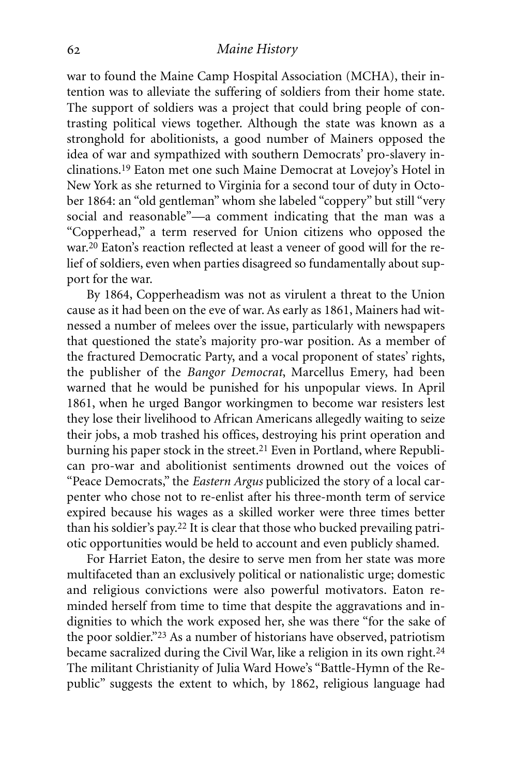war to found the Maine Camp Hospital Association (MCHA), their intention was to alleviate the suffering of soldiers from their home state. The support of soldiers was a project that could bring people of contrasting political views together. Although the state was known as a stronghold for abolitionists, a good number of Mainers opposed the idea of war and sympathized with southern Democrats' pro-slavery inclinations. 19 Eaton met one such Maine Democrat at Lovejoy's Hotel in New York as she returned to Virginia for a second tour of duty in October 1864: an "old gentleman" whom she labeled "coppery" but still "very social and reasonable"—a comment indicating that the man was a "Copperhead," a term reserved for Union citizens who opposed the war. 20 Eaton's reaction reflected at least a veneer of good will for the relief of soldiers, even when parties disagreed so fundamentally about support for the war.

By 1864, Copperheadism was not as virulent a threat to the Union cause as it had been on the eve of war. As early as 1861, Mainers had witnessed a number of melees over the issue, particularly with newspapers that questioned the state's majority pro-war position. As a member of the fractured Democratic Party, and a vocal proponent of states' rights, the publisher of the *Bangor Democrat*, Marcellus Emery, had been warned that he would be punished for his unpopular views. In April 1861, when he urged Bangor workingmen to become war resisters lest they lose their livelihood to African Americans allegedly waiting to seize their jobs, a mob trashed his offices, destroying his print operation and burning his paper stock in the street.<sup>21</sup> Even in Portland, where Republican pro-war and abolitionist sentiments drowned out the voices of "Peace Democrats," the *Eastern Argus* publicized the story of a local carpenter who chose not to re-enlist after his three-month term of service expired because his wages as a skilled worker were three times better than his soldier's pay. 22 It is clear that those who bucked prevailing patriotic opportunities would be held to account and even publicly shamed.

For Harriet Eaton, the desire to serve men from her state was more multifaceted than an exclusively political or nationalistic urge; domestic and religious convictions were also powerful motivators. Eaton reminded herself from time to time that despite the aggravations and indignities to which the work exposed her, she was there "for the sake of the poor soldier."23 As a number of historians have observed, patriotism became sacralized during the Civil War, like a religion in its own right. 24 The militant Christianity of Julia Ward Howe's "Battle-Hymn of the Republic" suggests the extent to which, by 1862, religious language had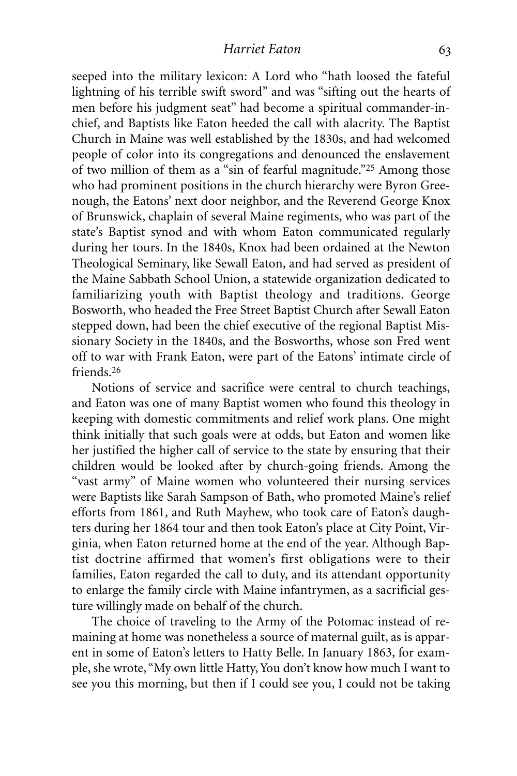seeped into the military lexicon: A Lord who "hath loosed the fateful lightning of his terrible swift sword" and was "sifting out the hearts of men before his judgment seat" had become a spiritual commander-inchief, and Baptists like Eaton heeded the call with alacrity. The Baptist Church in Maine was well established by the 1830s, and had welcomed people of color into its congregations and denounced the enslavement of two million of them as a "sin of fearful magnitude."25 Among those who had prominent positions in the church hierarchy were Byron Greenough, the Eatons' next door neighbor, and the Reverend George Knox of Brunswick, chaplain of several Maine regiments, who was part of the state's Baptist synod and with whom Eaton communicated regularly during her tours. In the 1840s, Knox had been ordained at the Newton Theological Seminary, like Sewall Eaton, and had served as president of the Maine Sabbath School Union, a statewide organization dedicated to familiarizing youth with Baptist theology and traditions. George Bosworth, who headed the Free Street Baptist Church after Sewall Eaton stepped down, had been the chief executive of the regional Baptist Missionary Society in the 1840s, and the Bosworths, whose son Fred went off to war with Frank Eaton, were part of the Eatons' intimate circle of friends. 26

Notions of service and sacrifice were central to church teachings, and Eaton was one of many Baptist women who found this theology in keeping with domestic commitments and relief work plans. One might think initially that such goals were at odds, but Eaton and women like her justified the higher call of service to the state by ensuring that their children would be looked after by church-going friends. Among the "vast army" of Maine women who volunteered their nursing services were Baptists like Sarah Sampson of Bath, who promoted Maine's relief efforts from 1861, and Ruth Mayhew, who took care of Eaton's daughters during her 1864 tour and then took Eaton's place at City Point, Virginia, when Eaton returned home at the end of the year. Although Baptist doctrine affirmed that women's first obligations were to their families, Eaton regarded the call to duty, and its attendant opportunity to enlarge the family circle with Maine infantrymen, as a sacrificial gesture willingly made on behalf of the church.

The choice of traveling to the Army of the Potomac instead of remaining at home was nonetheless a source of maternal guilt, as is apparent in some of Eaton's letters to Hatty Belle. In January 1863, for example, she wrote, "My own little Hatty,You don't know how much I want to see you this morning, but then if I could see you, I could not be taking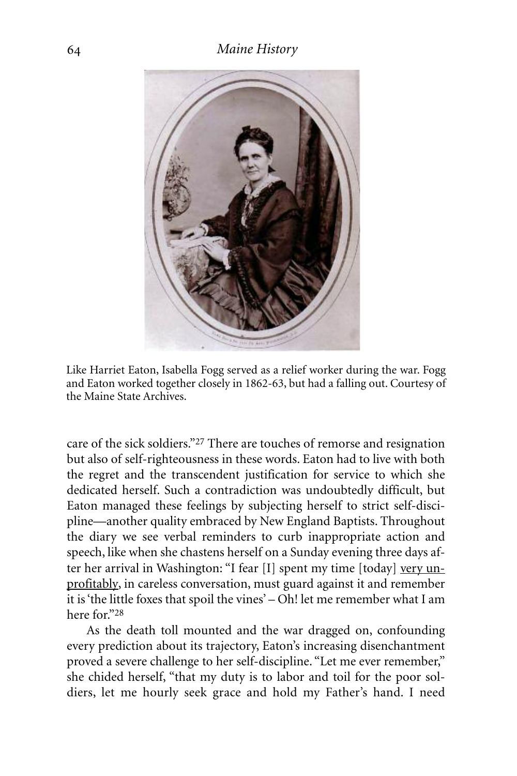

Like Harriet Eaton, Isabella Fogg served as a relief worker during the war. Fogg and Eaton worked together closely in 1862-63, but had a falling out. Courtesy of the Maine State Archives.

care of the sick soldiers."27 There are touches of remorse and resignation but also of self-righteousness in these words. Eaton had to live with both the regret and the transcendent justification for service to which she dedicated herself. Such a contradiction was undoubtedly difficult, but Eaton managed these feelings by subjecting herself to strict self-discipline—another quality embraced by New England Baptists. Throughout the diary we see verbal reminders to curb inappropriate action and speech, like when she chastens herself on a Sunday evening three days after her arrival in Washington: "I fear [I] spent my time [today] very unprofitably, in careless conversation, must guard against it and remember it is'the little foxes that spoil the vines' – Oh! let me remember what I am here for."28

As the death toll mounted and the war dragged on, confounding every prediction about its trajectory, Eaton's increasing disenchantment proved a severe challenge to her self-discipline. "Let me ever remember," she chided herself, "that my duty is to labor and toil for the poor soldiers, let me hourly seek grace and hold my Father's hand. I need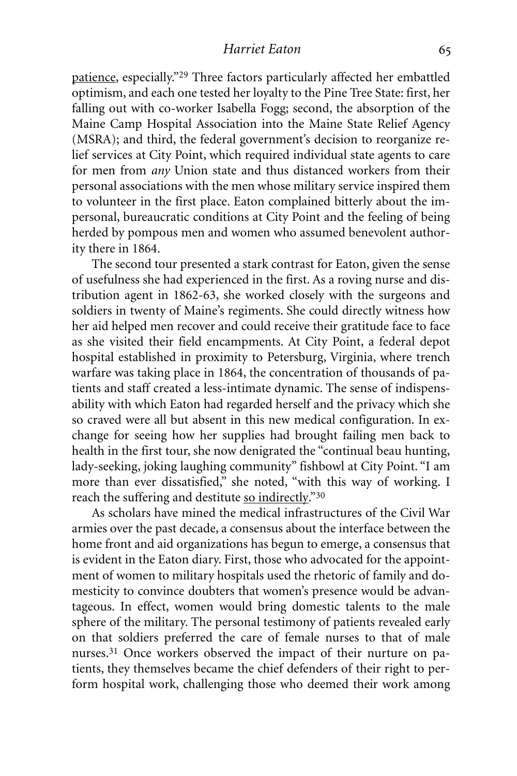patience, especially."29 Three factors particularly affected her embattled optimism, and each one tested her loyalty to the Pine Tree State: first, her falling out with co-worker Isabella Fogg; second, the absorption of the Maine Camp Hospital Association into the Maine State Relief Agency (MSRA); and third, the federal government's decision to reorganize relief services at City Point, which required individual state agents to care for men from *any* Union state and thus distanced workers from their personal associations with the men whose military service inspired them to volunteer in the first place. Eaton complained bitterly about the impersonal, bureaucratic conditions at City Point and the feeling of being herded by pompous men and women who assumed benevolent authority there in 1864.

The second tour presented a stark contrast for Eaton, given the sense of usefulness she had experienced in the first. As a roving nurse and distribution agent in 1862-63, she worked closely with the surgeons and soldiers in twenty of Maine's regiments. She could directly witness how her aid helped men recover and could receive their gratitude face to face as she visited their field encampments. At City Point, a federal depot hospital established in proximity to Petersburg, Virginia, where trench warfare was taking place in 1864, the concentration of thousands of patients and staff created a less-intimate dynamic. The sense of indispensability with which Eaton had regarded herself and the privacy which she so craved were all but absent in this new medical configuration. In exchange for seeing how her supplies had brought failing men back to health in the first tour, she now denigrated the "continual beau hunting, lady-seeking, joking laughing community" fishbowl at City Point. "I am more than ever dissatisfied," she noted, "with this way of working. I reach the suffering and destitute so indirectly."30

As scholars have mined the medical infrastructures of the Civil War armies over the past decade, a consensus about the interface between the home front and aid organizations has begun to emerge, a consensus that is evident in the Eaton diary. First, those who advocated for the appointment of women to military hospitals used the rhetoric of family and domesticity to convince doubters that women's presence would be advantageous. In effect, women would bring domestic talents to the male sphere of the military. The personal testimony of patients revealed early on that soldiers preferred the care of female nurses to that of male nurses.<sup>31</sup> Once workers observed the impact of their nurture on patients, they themselves became the chief defenders of their right to perform hospital work, challenging those who deemed their work among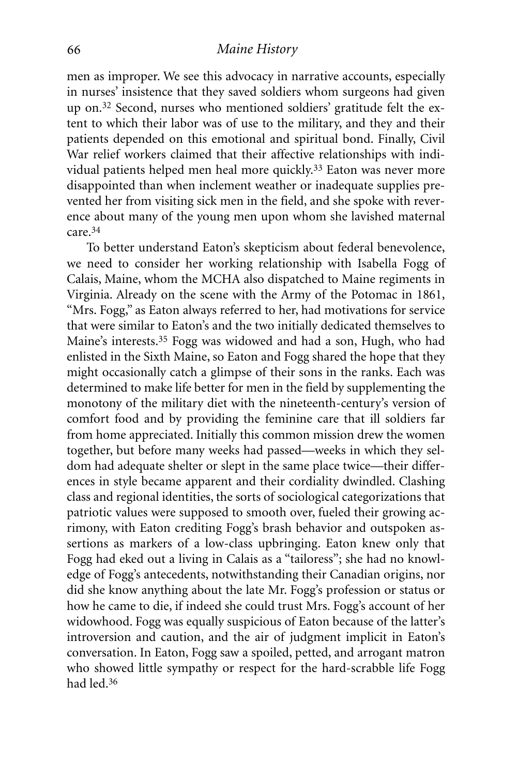men as improper. We see this advocacy in narrative accounts, especially in nurses' insistence that they saved soldiers whom surgeons had given up on. 32 Second, nurses who mentioned soldiers' gratitude felt the extent to which their labor was of use to the military, and they and their patients depended on this emotional and spiritual bond. Finally, Civil War relief workers claimed that their affective relationships with individual patients helped men heal more quickly.<sup>33</sup> Eaton was never more disappointed than when inclement weather or inadequate supplies prevented her from visiting sick men in the field, and she spoke with reverence about many of the young men upon whom she lavished maternal care.34

To better understand Eaton's skepticism about federal benevolence, we need to consider her working relationship with Isabella Fogg of Calais, Maine, whom the MCHA also dispatched to Maine regiments in Virginia. Already on the scene with the Army of the Potomac in 1861, "Mrs. Fogg," as Eaton always referred to her, had motivations for service that were similar to Eaton's and the two initially dedicated themselves to Maine's interests.35 Fogg was widowed and had a son, Hugh, who had enlisted in the Sixth Maine, so Eaton and Fogg shared the hope that they might occasionally catch a glimpse of their sons in the ranks. Each was determined to make life better for men in the field by supplementing the monotony of the military diet with the nineteenth-century's version of comfort food and by providing the feminine care that ill soldiers far from home appreciated. Initially this common mission drew the women together, but before many weeks had passed—weeks in which they seldom had adequate shelter or slept in the same place twice—their differences in style became apparent and their cordiality dwindled. Clashing class and regional identities, the sorts of sociological categorizations that patriotic values were supposed to smooth over, fueled their growing acrimony, with Eaton crediting Fogg's brash behavior and outspoken assertions as markers of a low-class upbringing. Eaton knew only that Fogg had eked out a living in Calais as a "tailoress"; she had no knowledge of Fogg's antecedents, notwithstanding their Canadian origins, nor did she know anything about the late Mr. Fogg's profession or status or how he came to die, if indeed she could trust Mrs. Fogg's account of her widowhood. Fogg was equally suspicious of Eaton because of the latter's introversion and caution, and the air of judgment implicit in Eaton's conversation. In Eaton, Fogg saw a spoiled, petted, and arrogant matron who showed little sympathy or respect for the hard-scrabble life Fogg had led. 36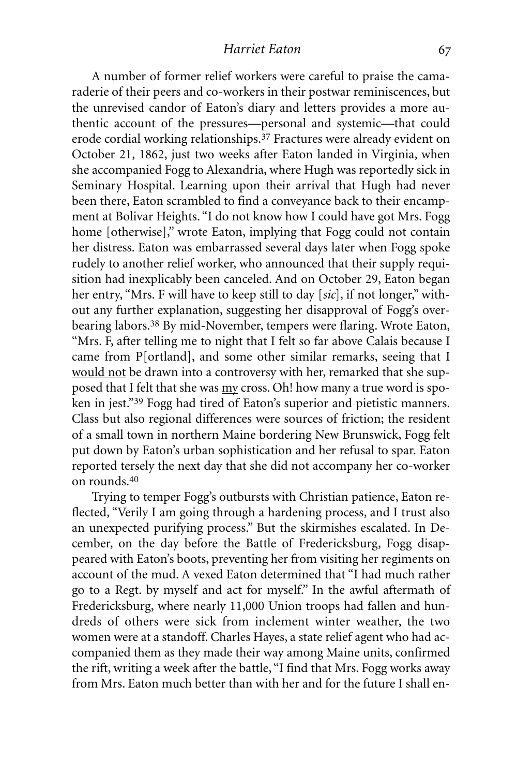A number of former relief workers were careful to praise the camaraderie of their peers and co-workers in their postwar reminiscences, but the unrevised candor of Eaton's diary and letters provides a more authentic account of the pressures—personal and systemic—that could erode cordial working relationships. 37 Fractures were already evident on October 21, 1862, just two weeks after Eaton landed in Virginia, when she accompanied Fogg to Alexandria, where Hugh was reportedly sick in Seminary Hospital. Learning upon their arrival that Hugh had never been there, Eaton scrambled to find a conveyance back to their encampment at Bolivar Heights. "I do not know how I could have got Mrs. Fogg home [otherwise]," wrote Eaton, implying that Fogg could not contain her distress. Eaton was embarrassed several days later when Fogg spoke rudely to another relief worker, who announced that their supply requisition had inexplicably been canceled. And on October 29, Eaton began her entry, "Mrs. F will have to keep still to day [*sic*], if not longer," without any further explanation, suggesting her disapproval of Fogg's overbearing labors. 38 By mid-November, tempers were flaring. Wrote Eaton, "Mrs. F, after telling me to night that I felt so far above Calais because I came from P[ortland], and some other similar remarks, seeing that I would not be drawn into a controversy with her, remarked that she supposed that I felt that she was my cross. Oh! how many a true word is spoken in jest."39 Fogg had tired of Eaton's superior and pietistic manners. Class but also regional differences were sources of friction; the resident of a small town in northern Maine bordering New Brunswick, Fogg felt put down by Eaton's urban sophistication and her refusal to spar. Eaton reported tersely the next day that she did not accompany her co-worker on rounds.40

Trying to temper Fogg's outbursts with Christian patience, Eaton reflected, "Verily I am going through a hardening process, and I trust also an unexpected purifying process." But the skirmishes escalated. In December, on the day before the Battle of Fredericksburg, Fogg disappeared with Eaton's boots, preventing her from visiting her regiments on account of the mud. A vexed Eaton determined that "I had much rather go to a Regt. by myself and act for myself." In the awful aftermath of Fredericksburg, where nearly 11,000 Union troops had fallen and hundreds of others were sick from inclement winter weather, the two women were at a standoff. Charles Hayes, a state relief agent who had accompanied them as they made their way among Maine units, confirmed the rift, writing a week after the battle, "I find that Mrs. Fogg works away from Mrs. Eaton much better than with her and for the future I shall en-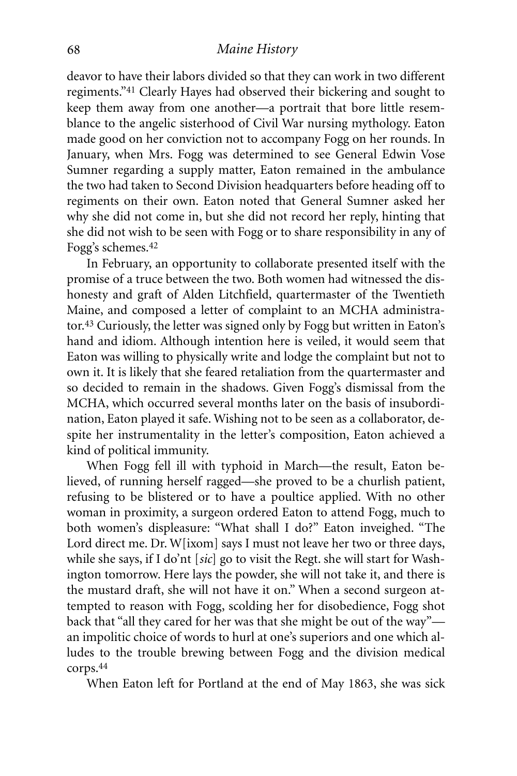deavor to have their labors divided so that they can work in two different regiments."41 Clearly Hayes had observed their bickering and sought to keep them away from one another—a portrait that bore little resemblance to the angelic sisterhood of Civil War nursing mythology. Eaton made good on her conviction not to accompany Fogg on her rounds. In January, when Mrs. Fogg was determined to see General Edwin Vose Sumner regarding a supply matter, Eaton remained in the ambulance the two had taken to Second Division headquarters before heading off to regiments on their own. Eaton noted that General Sumner asked her why she did not come in, but she did not record her reply, hinting that she did not wish to be seen with Fogg or to share responsibility in any of Fogg's schemes. 42

In February, an opportunity to collaborate presented itself with the promise of a truce between the two. Both women had witnessed the dishonesty and graft of Alden Litchfield, quartermaster of the Twentieth Maine, and composed a letter of complaint to an MCHA administrator.43 Curiously, the letter was signed only by Fogg but written in Eaton's hand and idiom. Although intention here is veiled, it would seem that Eaton was willing to physically write and lodge the complaint but not to own it. It is likely that she feared retaliation from the quartermaster and so decided to remain in the shadows. Given Fogg's dismissal from the MCHA, which occurred several months later on the basis of insubordination, Eaton played it safe. Wishing not to be seen as a collaborator, despite her instrumentality in the letter's composition, Eaton achieved a kind of political immunity.

When Fogg fell ill with typhoid in March—the result, Eaton believed, of running herself ragged—she proved to be a churlish patient, refusing to be blistered or to have a poultice applied. With no other woman in proximity, a surgeon ordered Eaton to attend Fogg, much to both women's displeasure: "What shall I do?" Eaton inveighed. "The Lord direct me. Dr. W[ixom] says I must not leave her two or three days, while she says, if I do'nt [*sic*] go to visit the Regt. she will start for Washington tomorrow. Here lays the powder, she will not take it, and there is the mustard draft, she will not have it on." When a second surgeon attempted to reason with Fogg, scolding her for disobedience, Fogg shot back that "all they cared for her was that she might be out of the way" an impolitic choice of words to hurl at one's superiors and one which alludes to the trouble brewing between Fogg and the division medical corps. 44

When Eaton left for Portland at the end of May 1863, she was sick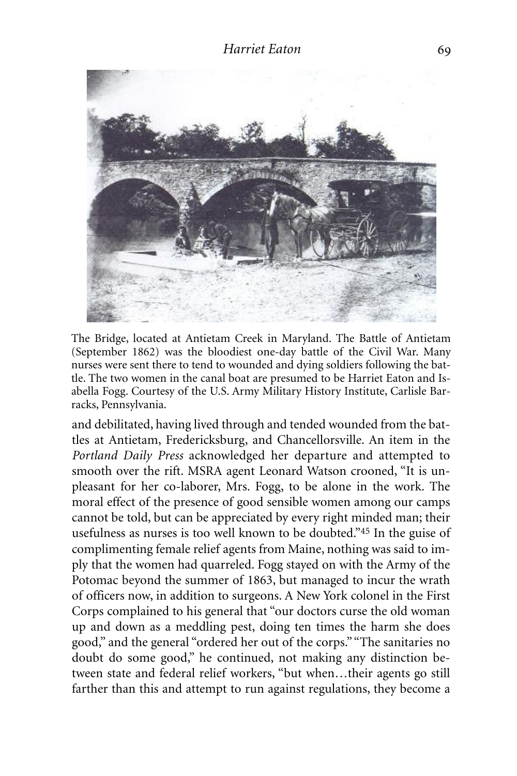

The Bridge, located at Antietam Creek in Maryland. The Battle of Antietam (September 1862) was the bloodiest one-day battle of the Civil War. Many nurses were sent there to tend to wounded and dying soldiers following the battle. The two women in the canal boat are presumed to be Harriet Eaton and Isabella Fogg. Courtesy of the U.S. Army Military History Institute, Carlisle Barracks, Pennsylvania.

and debilitated, having lived through and tended wounded from the battles at Antietam, Fredericksburg, and Chancellorsville. An item in the *Portland Daily Press* acknowledged her departure and attempted to smooth over the rift. MSRA agent Leonard Watson crooned, "It is unpleasant for her co-laborer, Mrs. Fogg, to be alone in the work. The moral effect of the presence of good sensible women among our camps cannot be told, but can be appreciated by every right minded man; their usefulness as nurses is too well known to be doubted."45 In the guise of complimenting female relief agents from Maine, nothing was said to imply that the women had quarreled. Fogg stayed on with the Army of the Potomac beyond the summer of 1863, but managed to incur the wrath of officers now, in addition to surgeons. A New York colonel in the First Corps complained to his general that "our doctors curse the old woman up and down as a meddling pest, doing ten times the harm she does good," and the general "ordered her out of the corps." "The sanitaries no doubt do some good," he continued, not making any distinction between state and federal relief workers, "but when…their agents go still farther than this and attempt to run against regulations, they become a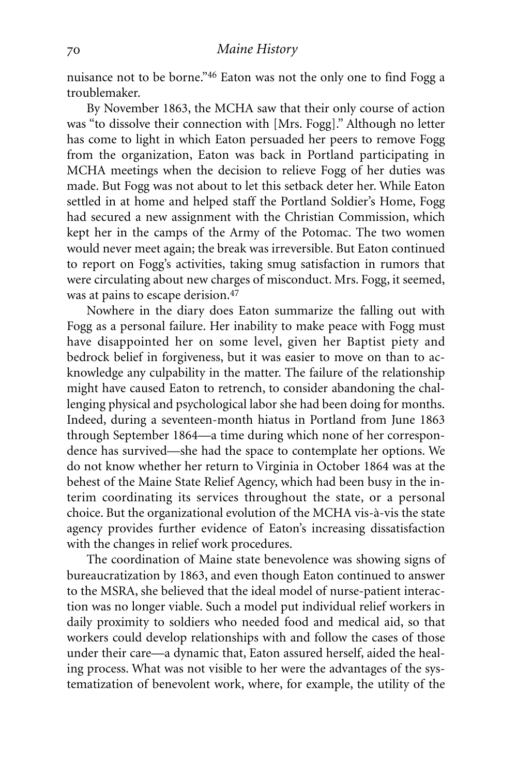nuisance not to be borne."46 Eaton was not the only one to find Fogg a troublemaker.

By November 1863, the MCHA saw that their only course of action was "to dissolve their connection with [Mrs. Fogg]." Although no letter has come to light in which Eaton persuaded her peers to remove Fogg from the organization, Eaton was back in Portland participating in MCHA meetings when the decision to relieve Fogg of her duties was made. But Fogg was not about to let this setback deter her. While Eaton settled in at home and helped staff the Portland Soldier's Home, Fogg had secured a new assignment with the Christian Commission, which kept her in the camps of the Army of the Potomac. The two women would never meet again; the break was irreversible. But Eaton continued to report on Fogg's activities, taking smug satisfaction in rumors that were circulating about new charges of misconduct. Mrs. Fogg, it seemed, was at pains to escape derision. 47

Nowhere in the diary does Eaton summarize the falling out with Fogg as a personal failure. Her inability to make peace with Fogg must have disappointed her on some level, given her Baptist piety and bedrock belief in forgiveness, but it was easier to move on than to acknowledge any culpability in the matter. The failure of the relationship might have caused Eaton to retrench, to consider abandoning the challenging physical and psychological labor she had been doing for months. Indeed, during a seventeen-month hiatus in Portland from June 1863 through September 1864—a time during which none of her correspondence has survived—she had the space to contemplate her options. We do not know whether her return to Virginia in October 1864 was at the behest of the Maine State Relief Agency, which had been busy in the interim coordinating its services throughout the state, or a personal choice. But the organizational evolution of the MCHA vis-à-vis the state agency provides further evidence of Eaton's increasing dissatisfaction with the changes in relief work procedures.

The coordination of Maine state benevolence was showing signs of bureaucratization by 1863, and even though Eaton continued to answer to the MSRA, she believed that the ideal model of nurse-patient interaction was no longer viable. Such a model put individual relief workers in daily proximity to soldiers who needed food and medical aid, so that workers could develop relationships with and follow the cases of those under their care—a dynamic that, Eaton assured herself, aided the healing process. What was not visible to her were the advantages of the systematization of benevolent work, where, for example, the utility of the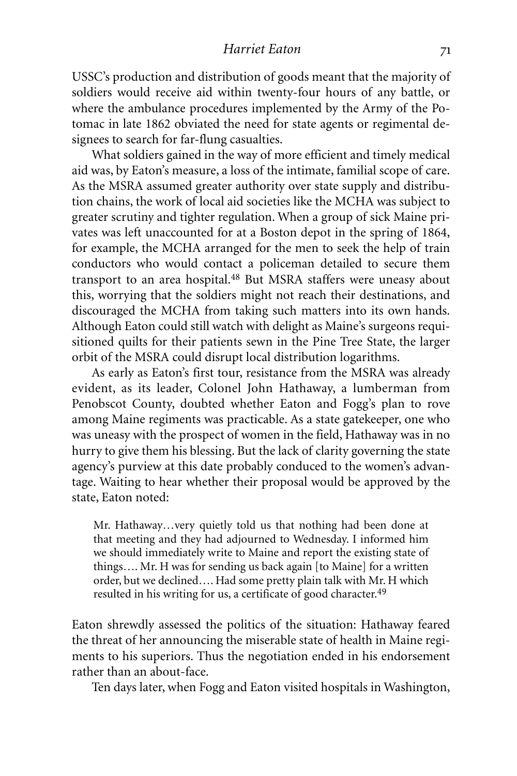#### *Harriet Eaton*

USSC's production and distribution of goods meant that the majority of soldiers would receive aid within twenty-four hours of any battle, or where the ambulance procedures implemented by the Army of the Potomac in late 1862 obviated the need for state agents or regimental designees to search for far-flung casualties.

What soldiers gained in the way of more efficient and timely medical aid was, by Eaton's measure, a loss of the intimate, familial scope of care. As the MSRA assumed greater authority over state supply and distribution chains, the work of local aid societies like the MCHA was subject to greater scrutiny and tighter regulation. When a group of sick Maine privates was left unaccounted for at a Boston depot in the spring of 1864, for example, the MCHA arranged for the men to seek the help of train conductors who would contact a policeman detailed to secure them transport to an area hospital. 48 But MSRA staffers were uneasy about this, worrying that the soldiers might not reach their destinations, and discouraged the MCHA from taking such matters into its own hands. Although Eaton could still watch with delight as Maine's surgeons requisitioned quilts for their patients sewn in the Pine Tree State, the larger orbit of the MSRA could disrupt local distribution logarithms.

As early as Eaton's first tour, resistance from the MSRA was already evident, as its leader, Colonel John Hathaway, a lumberman from Penobscot County, doubted whether Eaton and Fogg's plan to rove among Maine regiments was practicable. As a state gatekeeper, one who was uneasy with the prospect of women in the field, Hathaway was in no hurry to give them his blessing. But the lack of clarity governing the state agency's purview at this date probably conduced to the women's advantage. Waiting to hear whether their proposal would be approved by the state, Eaton noted:

Mr. Hathaway…very quietly told us that nothing had been done at that meeting and they had adjourned to Wednesday. I informed him we should immediately write to Maine and report the existing state of things…. Mr. H was for sending us back again [to Maine] for a written order, but we declined…. Had some pretty plain talk with Mr. H which resulted in his writing for us, a certificate of good character.<sup>49</sup>

Eaton shrewdly assessed the politics of the situation: Hathaway feared the threat of her announcing the miserable state of health in Maine regiments to his superiors. Thus the negotiation ended in his endorsement rather than an about-face.

Ten days later, when Fogg and Eaton visited hospitals in Washington,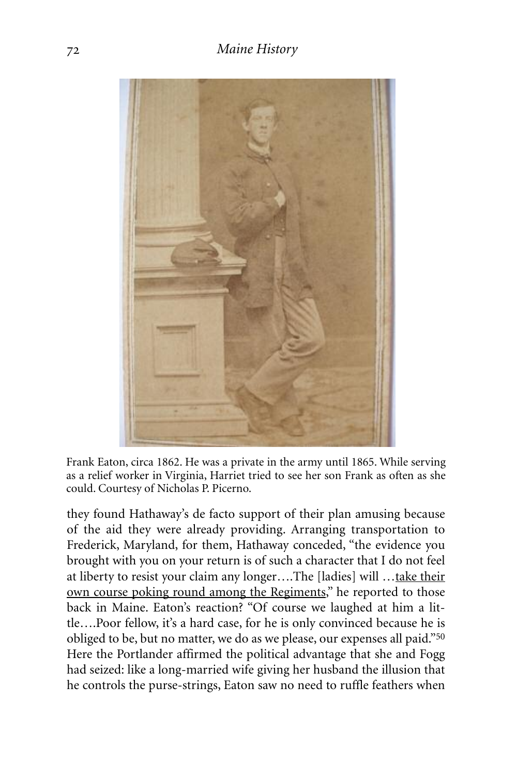

Frank Eaton, circa 1862. He was a private in the army until 1865. While serving as a relief worker in Virginia, Harriet tried to see her son Frank as often as she could. Courtesy of Nicholas P. Picerno.

they found Hathaway's de facto support of their plan amusing because of the aid they were already providing. Arranging transportation to Frederick, Maryland, for them, Hathaway conceded, "the evidence you brought with you on your return is of such a character that I do not feel at liberty to resist your claim any longer….The [ladies] will …take their own course poking round among the Regiments," he reported to those back in Maine. Eaton's reaction? "Of course we laughed at him a little….Poor fellow, it's a hard case, for he is only convinced because he is obliged to be, but no matter, we do as we please, our expenses all paid."50 Here the Portlander affirmed the political advantage that she and Fogg had seized: like a long-married wife giving her husband the illusion that he controls the purse-strings, Eaton saw no need to ruffle feathers when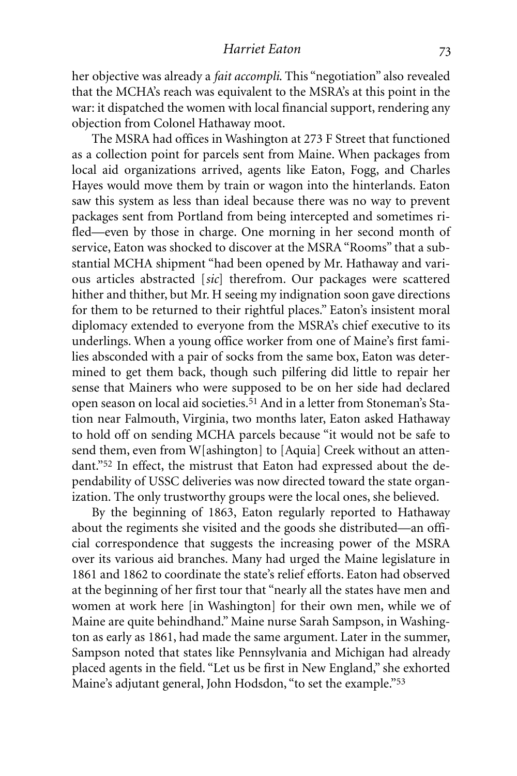her objective was already a *fait accompli*. This "negotiation" also revealed that the MCHA's reach was equivalent to the MSRA's at this point in the war: it dispatched the women with local financial support, rendering any objection from Colonel Hathaway moot.

The MSRA had offices in Washington at 273 F Street that functioned as a collection point for parcels sent from Maine. When packages from local aid organizations arrived, agents like Eaton, Fogg, and Charles Hayes would move them by train or wagon into the hinterlands. Eaton saw this system as less than ideal because there was no way to prevent packages sent from Portland from being intercepted and sometimes rifled—even by those in charge. One morning in her second month of service, Eaton was shocked to discover at the MSRA "Rooms" that a substantial MCHA shipment "had been opened by Mr. Hathaway and various articles abstracted [*sic*] therefrom. Our packages were scattered hither and thither, but Mr. H seeing my indignation soon gave directions for them to be returned to their rightful places." Eaton's insistent moral diplomacy extended to everyone from the MSRA's chief executive to its underlings. When a young office worker from one of Maine's first families absconded with a pair of socks from the same box, Eaton was determined to get them back, though such pilfering did little to repair her sense that Mainers who were supposed to be on her side had declared open season on local aid societies.51 And in a letter from Stoneman's Station near Falmouth, Virginia, two months later, Eaton asked Hathaway to hold off on sending MCHA parcels because "it would not be safe to send them, even from W[ashington] to [Aquia] Creek without an attendant."52 In effect, the mistrust that Eaton had expressed about the dependability of USSC deliveries was now directed toward the state organization. The only trustworthy groups were the local ones, she believed.

By the beginning of 1863, Eaton regularly reported to Hathaway about the regiments she visited and the goods she distributed—an official correspondence that suggests the increasing power of the MSRA over its various aid branches. Many had urged the Maine legislature in 1861 and 1862 to coordinate the state's relief efforts. Eaton had observed at the beginning of her first tour that "nearly all the states have men and women at work here [in Washington] for their own men, while we of Maine are quite behindhand." Maine nurse Sarah Sampson, in Washington as early as 1861, had made the same argument. Later in the summer, Sampson noted that states like Pennsylvania and Michigan had already placed agents in the field. "Let us be first in New England," she exhorted Maine's adjutant general, John Hodsdon, "to set the example."53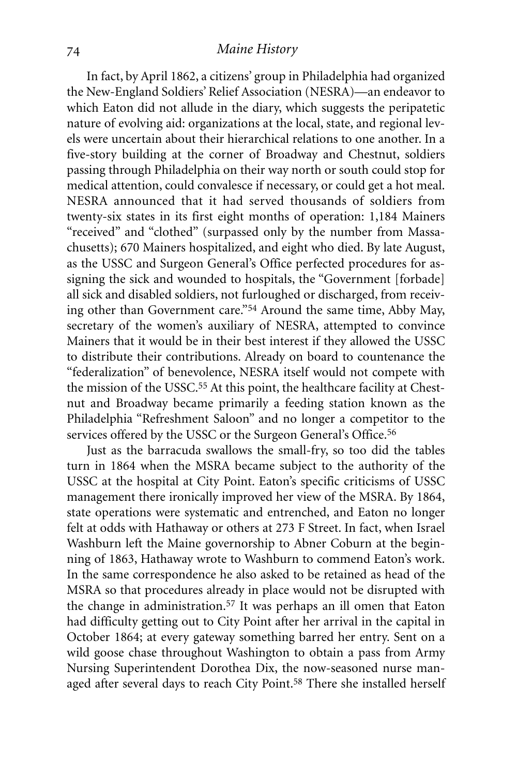In fact, by April 1862, a citizens' group in Philadelphia had organized the New-England Soldiers' Relief Association (NESRA)—an endeavor to which Eaton did not allude in the diary, which suggests the peripatetic nature of evolving aid: organizations at the local, state, and regional levels were uncertain about their hierarchical relations to one another. In a five-story building at the corner of Broadway and Chestnut, soldiers passing through Philadelphia on their way north or south could stop for medical attention, could convalesce if necessary, or could get a hot meal. NESRA announced that it had served thousands of soldiers from twenty-six states in its first eight months of operation: 1,184 Mainers "received" and "clothed" (surpassed only by the number from Massachusetts); 670 Mainers hospitalized, and eight who died. By late August, as the USSC and Surgeon General's Office perfected procedures for assigning the sick and wounded to hospitals, the "Government [forbade] all sick and disabled soldiers, not furloughed or discharged, from receiving other than Government care."54 Around the same time, Abby May, secretary of the women's auxiliary of NESRA, attempted to convince Mainers that it would be in their best interest if they allowed the USSC to distribute their contributions. Already on board to countenance the "federalization" of benevolence, NESRA itself would not compete with the mission of the USSC. 55 At this point, the healthcare facility at Chestnut and Broadway became primarily a feeding station known as the Philadelphia "Refreshment Saloon" and no longer a competitor to the services offered by the USSC or the Surgeon General's Office.<sup>56</sup>

Just as the barracuda swallows the small-fry, so too did the tables turn in 1864 when the MSRA became subject to the authority of the USSC at the hospital at City Point. Eaton's specific criticisms of USSC management there ironically improved her view of the MSRA. By 1864, state operations were systematic and entrenched, and Eaton no longer felt at odds with Hathaway or others at 273 F Street. In fact, when Israel Washburn left the Maine governorship to Abner Coburn at the beginning of 1863, Hathaway wrote to Washburn to commend Eaton's work. In the same correspondence he also asked to be retained as head of the MSRA so that procedures already in place would not be disrupted with the change in administration. 57 It was perhaps an ill omen that Eaton had difficulty getting out to City Point after her arrival in the capital in October 1864; at every gateway something barred her entry. Sent on a wild goose chase throughout Washington to obtain a pass from Army Nursing Superintendent Dorothea Dix, the now-seasoned nurse managed after several days to reach City Point.<sup>58</sup> There she installed herself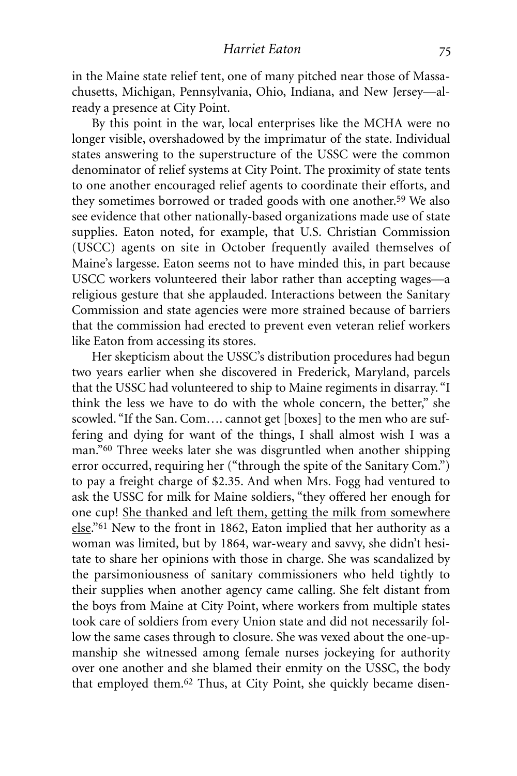in the Maine state relief tent, one of many pitched near those of Massachusetts, Michigan, Pennsylvania, Ohio, Indiana, and New Jersey—already a presence at City Point.

By this point in the war, local enterprises like the MCHA were no longer visible, overshadowed by the imprimatur of the state. Individual states answering to the superstructure of the USSC were the common denominator of relief systems at City Point. The proximity of state tents to one another encouraged relief agents to coordinate their efforts, and they sometimes borrowed or traded goods with one another.<sup>59</sup> We also see evidence that other nationally-based organizations made use of state supplies. Eaton noted, for example, that U.S. Christian Commission (USCC) agents on site in October frequently availed themselves of Maine's largesse. Eaton seems not to have minded this, in part because USCC workers volunteered their labor rather than accepting wages—a religious gesture that she applauded. Interactions between the Sanitary Commission and state agencies were more strained because of barriers that the commission had erected to prevent even veteran relief workers like Eaton from accessing its stores.

Her skepticism about the USSC's distribution procedures had begun two years earlier when she discovered in Frederick, Maryland, parcels that the USSC had volunteered to ship to Maine regiments in disarray. "I think the less we have to do with the whole concern, the better," she scowled. "If the San. Com…. cannot get [boxes] to the men who are suffering and dying for want of the things, I shall almost wish I was a man."60 Three weeks later she was disgruntled when another shipping error occurred, requiring her ("through the spite of the Sanitary Com.") to pay a freight charge of \$2.35. And when Mrs. Fogg had ventured to ask the USSC for milk for Maine soldiers, "they offered her enough for one cup! She thanked and left them, getting the milk from somewhere else."<sup>61</sup> New to the front in 1862, Eaton implied that her authority as a woman was limited, but by 1864, war-weary and savvy, she didn't hesitate to share her opinions with those in charge. She was scandalized by the parsimoniousness of sanitary commissioners who held tightly to their supplies when another agency came calling. She felt distant from the boys from Maine at City Point, where workers from multiple states took care of soldiers from every Union state and did not necessarily follow the same cases through to closure. She was vexed about the one-upmanship she witnessed among female nurses jockeying for authority over one another and she blamed their enmity on the USSC, the body that employed them. 62 Thus, at City Point, she quickly became disen-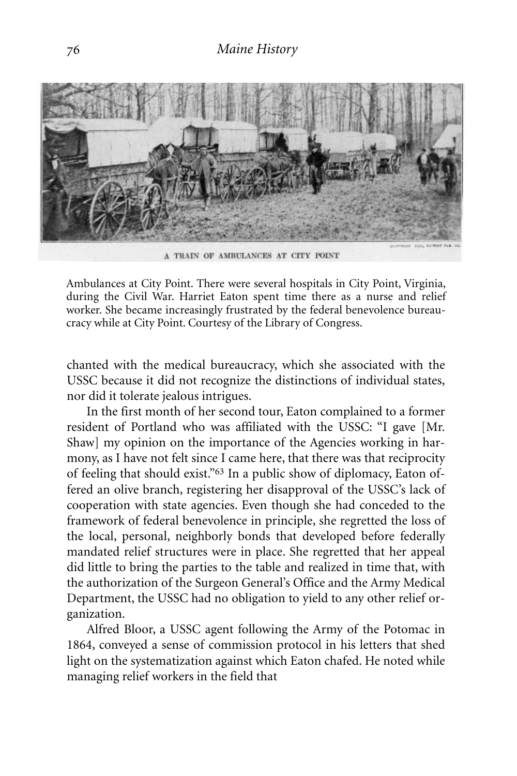

A TRAIN OF AMBULANCES AT CITY POINT

Ambulances at City Point. There were several hospitals in City Point, Virginia, during the Civil War. Harriet Eaton spent time there as a nurse and relief worker. She became increasingly frustrated by the federal benevolence bureaucracy while at City Point. Courtesy of the Library of Congress.

chanted with the medical bureaucracy, which she associated with the USSC because it did not recognize the distinctions of individual states, nor did it tolerate jealous intrigues.

In the first month of her second tour, Eaton complained to a former resident of Portland who was affiliated with the USSC: "I gave [Mr. Shaw] my opinion on the importance of the Agencies working in harmony, as I have not felt since I came here, that there was that reciprocity of feeling that should exist."63 In a public show of diplomacy, Eaton offered an olive branch, registering her disapproval of the USSC's lack of cooperation with state agencies. Even though she had conceded to the framework of federal benevolence in principle, she regretted the loss of the local, personal, neighborly bonds that developed before federally mandated relief structures were in place. She regretted that her appeal did little to bring the parties to the table and realized in time that, with the authorization of the Surgeon General's Office and the Army Medical Department, the USSC had no obligation to yield to any other relief organization.

Alfred Bloor, a USSC agent following the Army of the Potomac in 1864, conveyed a sense of commission protocol in his letters that shed light on the systematization against which Eaton chafed. He noted while managing relief workers in the field that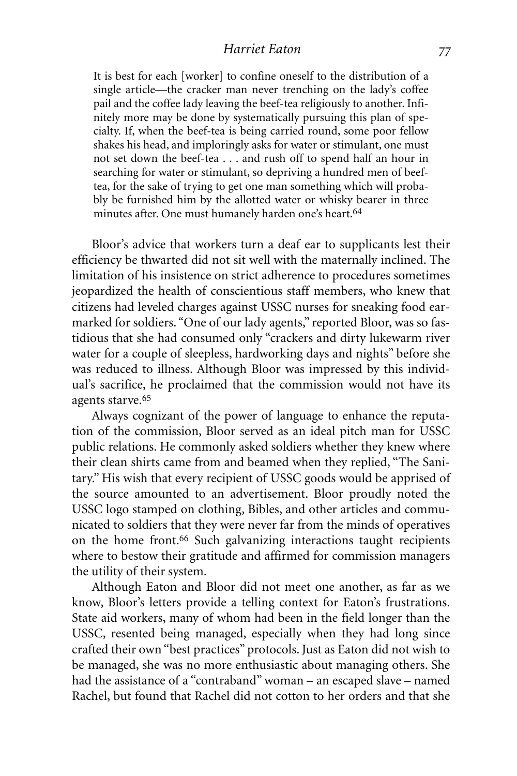#### *Harriet Eaton*

It is best for each [worker] to confine oneself to the distribution of a single article—the cracker man never trenching on the lady's coffee pail and the coffee lady leaving the beef-tea religiously to another. Infinitely more may be done by systematically pursuing this plan of specialty. If, when the beef-tea is being carried round, some poor fellow shakes his head, and imploringly asks for water or stimulant, one must not set down the beef-tea . . . and rush off to spend half an hour in searching for water or stimulant, so depriving a hundred men of beeftea, for the sake of trying to get one man something which will probably be furnished him by the allotted water or whisky bearer in three minutes after. One must humanely harden one's heart. 64

Bloor's advice that workers turn a deaf ear to supplicants lest their efficiency be thwarted did not sit well with the maternally inclined. The limitation of his insistence on strict adherence to procedures sometimes jeopardized the health of conscientious staff members, who knew that citizens had leveled charges against USSC nurses for sneaking food earmarked for soldiers. "One of our lady agents," reported Bloor, was so fastidious that she had consumed only "crackers and dirty lukewarm river water for a couple of sleepless, hardworking days and nights" before she was reduced to illness. Although Bloor was impressed by this individual's sacrifice, he proclaimed that the commission would not have its agents starve. 65

Always cognizant of the power of language to enhance the reputation of the commission, Bloor served as an ideal pitch man for USSC public relations. He commonly asked soldiers whether they knew where their clean shirts came from and beamed when they replied, "The Sanitary." His wish that every recipient of USSC goods would be apprised of the source amounted to an advertisement. Bloor proudly noted the USSC logo stamped on clothing, Bibles, and other articles and communicated to soldiers that they were never far from the minds of operatives on the home front.66 Such galvanizing interactions taught recipients where to bestow their gratitude and affirmed for commission managers the utility of their system.

Although Eaton and Bloor did not meet one another, as far as we know, Bloor's letters provide a telling context for Eaton's frustrations. State aid workers, many of whom had been in the field longer than the USSC, resented being managed, especially when they had long since crafted their own "best practices" protocols. Just as Eaton did not wish to be managed, she was no more enthusiastic about managing others. She had the assistance of a "contraband" woman – an escaped slave – named Rachel, but found that Rachel did not cotton to her orders and that she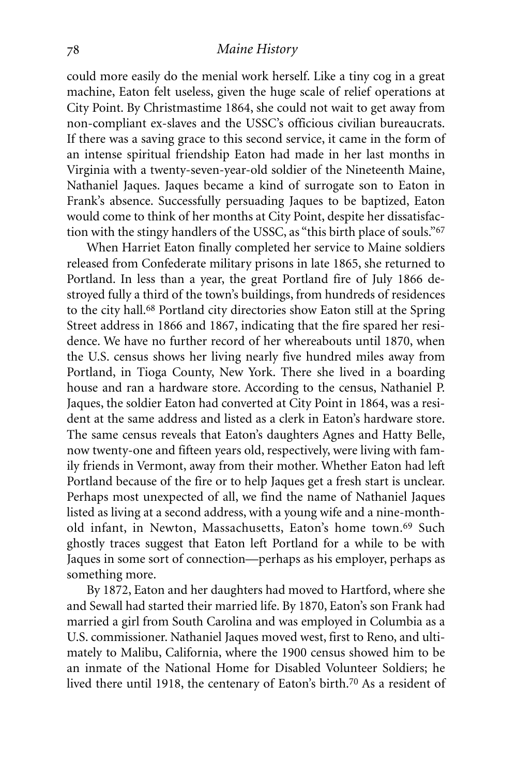could more easily do the menial work herself. Like a tiny cog in a great machine, Eaton felt useless, given the huge scale of relief operations at City Point. By Christmastime 1864, she could not wait to get away from non-compliant ex-slaves and the USSC's officious civilian bureaucrats. If there was a saving grace to this second service, it came in the form of an intense spiritual friendship Eaton had made in her last months in Virginia with a twenty-seven-year-old soldier of the Nineteenth Maine, Nathaniel Jaques. Jaques became a kind of surrogate son to Eaton in Frank's absence. Successfully persuading Jaques to be baptized, Eaton would come to think of her months at City Point, despite her dissatisfaction with the stingy handlers of the USSC, as "this birth place of souls."67

When Harriet Eaton finally completed her service to Maine soldiers released from Confederate military prisons in late 1865, she returned to Portland. In less than a year, the great Portland fire of July 1866 destroyed fully a third of the town's buildings, from hundreds of residences to the city hall. 68 Portland city directories show Eaton still at the Spring Street address in 1866 and 1867, indicating that the fire spared her residence. We have no further record of her whereabouts until 1870, when the U.S. census shows her living nearly five hundred miles away from Portland, in Tioga County, New York. There she lived in a boarding house and ran a hardware store. According to the census, Nathaniel P. Jaques, the soldier Eaton had converted at City Point in 1864, was a resident at the same address and listed as a clerk in Eaton's hardware store. The same census reveals that Eaton's daughters Agnes and Hatty Belle, now twenty-one and fifteen years old, respectively, were living with family friends in Vermont, away from their mother. Whether Eaton had left Portland because of the fire or to help Jaques get a fresh start is unclear. Perhaps most unexpected of all, we find the name of Nathaniel Jaques listed as living at a second address, with a young wife and a nine-monthold infant, in Newton, Massachusetts, Eaton's home town.<sup>69</sup> Such ghostly traces suggest that Eaton left Portland for a while to be with Jaques in some sort of connection—perhaps as his employer, perhaps as something more.

By 1872, Eaton and her daughters had moved to Hartford, where she and Sewall had started their married life. By 1870, Eaton's son Frank had married a girl from South Carolina and was employed in Columbia as a U.S. commissioner. Nathaniel Jaques moved west, first to Reno, and ultimately to Malibu, California, where the 1900 census showed him to be an inmate of the National Home for Disabled Volunteer Soldiers; he lived there until 1918, the centenary of Eaton's birth. 70 As a resident of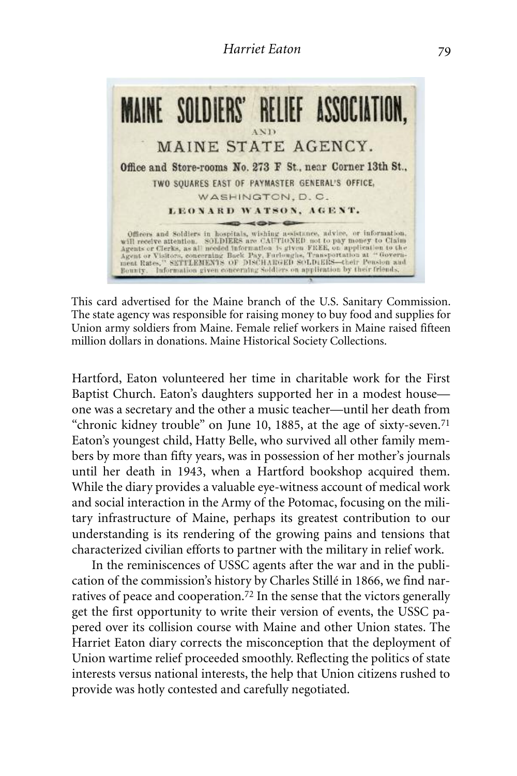

This card advertised for the Maine branch of the U.S. Sanitary Commission. The state agency was responsible for raising money to buy food and supplies for Union army soldiers from Maine. Female relief workers in Maine raised fifteen million dollars in donations. Maine Historical Society Collections.

Hartford, Eaton volunteered her time in charitable work for the First Baptist Church. Eaton's daughters supported her in a modest house one was a secretary and the other a music teacher—until her death from "chronic kidney trouble" on June 10, 1885, at the age of sixty-seven.71 Eaton's youngest child, Hatty Belle, who survived all other family members by more than fifty years, was in possession of her mother's journals until her death in 1943, when a Hartford bookshop acquired them. While the diary provides a valuable eye-witness account of medical work and social interaction in the Army of the Potomac, focusing on the military infrastructure of Maine, perhaps its greatest contribution to our understanding is its rendering of the growing pains and tensions that characterized civilian efforts to partner with the military in relief work.

In the reminiscences of USSC agents after the war and in the publication of the commission's history by Charles Stillé in 1866, we find narratives of peace and cooperation. 72 In the sense that the victors generally get the first opportunity to write their version of events, the USSC papered over its collision course with Maine and other Union states. The Harriet Eaton diary corrects the misconception that the deployment of Union wartime relief proceeded smoothly. Reflecting the politics of state interests versus national interests, the help that Union citizens rushed to provide was hotly contested and carefully negotiated.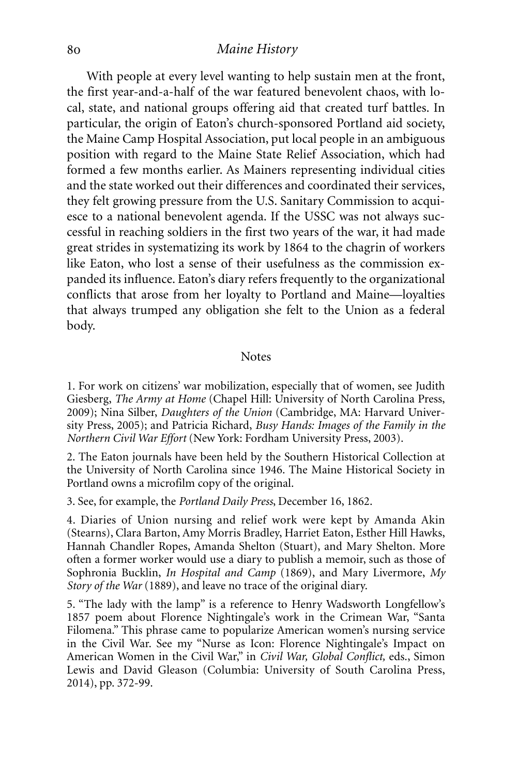With people at every level wanting to help sustain men at the front, the first year-and-a-half of the war featured benevolent chaos, with local, state, and national groups offering aid that created turf battles. In particular, the origin of Eaton's church-sponsored Portland aid society, the Maine Camp Hospital Association, put local people in an ambiguous position with regard to the Maine State Relief Association, which had formed a few months earlier. As Mainers representing individual cities and the state worked out their differences and coordinated their services, they felt growing pressure from the U.S. Sanitary Commission to acquiesce to a national benevolent agenda. If the USSC was not always successful in reaching soldiers in the first two years of the war, it had made great strides in systematizing its work by 1864 to the chagrin of workers like Eaton, who lost a sense of their usefulness as the commission expanded its influence. Eaton's diary refers frequently to the organizational conflicts that arose from her loyalty to Portland and Maine—loyalties that always trumped any obligation she felt to the Union as a federal body.

#### **Notes**

1. For work on citizens' war mobilization, especially that of women, see Judith Giesberg, *The Army at Home* (Chapel Hill: University of North Carolina Press, 2009); Nina Silber, *Daughters of the Union* (Cambridge, MA: Harvard University Press, 2005); and Patricia Richard, *Busy Hands: Images of the Family in the Northern Civil War Effort* (New York: Fordham University Press, 2003).

2. The Eaton journals have been held by the Southern Historical Collection at the University of North Carolina since 1946. The Maine Historical Society in Portland owns a microfilm copy of the original.

3. See, for example, the *Portland Daily Press*, December 16, 1862.

4. Diaries of Union nursing and relief work were kept by Amanda Akin (Stearns), Clara Barton, Amy Morris Bradley, Harriet Eaton, Esther Hill Hawks, Hannah Chandler Ropes, Amanda Shelton (Stuart), and Mary Shelton. More often a former worker would use a diary to publish a memoir, such as those of Sophronia Bucklin, *In Hospital and Camp* (1869), and Mary Livermore, *My Story of the War* (1889), and leave no trace of the original diary.

5. "The lady with the lamp" is a reference to Henry Wadsworth Longfellow's 1857 poem about Florence Nightingale's work in the Crimean War, "Santa Filomena." This phrase came to popularize American women's nursing service in the Civil War. See my "Nurse as Icon: Florence Nightingale's Impact on American Women in the Civil War," in *Civil War, Global Conflict,* eds., Simon Lewis and David Gleason (Columbia: University of South Carolina Press, 2014), pp. 372-99.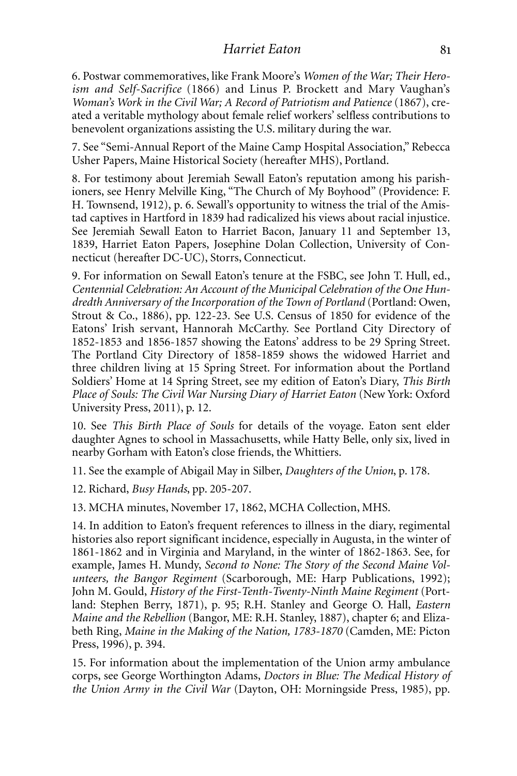6. Postwar commemoratives, like Frank Moore's *Women of the War; Their Heroism and Self-Sacrifice* (1866) and Linus P. Brockett and Mary Vaughan's *Woman's Work in the Civil War; A Record of Patriotism and Patience* (1867), created a veritable mythology about female relief workers' selfless contributions to benevolent organizations assisting the U.S. military during the war.

7. See "Semi-Annual Report of the Maine Camp Hospital Association," Rebecca Usher Papers, Maine Historical Society (hereafter MHS), Portland.

8. For testimony about Jeremiah Sewall Eaton's reputation among his parishioners, see Henry Melville King, "The Church of My Boyhood" (Providence: F. H. Townsend, 1912), p. 6. Sewall's opportunity to witness the trial of the Amistad captives in Hartford in 1839 had radicalized his views about racial injustice. See Jeremiah Sewall Eaton to Harriet Bacon, January 11 and September 13, 1839, Harriet Eaton Papers, Josephine Dolan Collection, University of Connecticut (hereafter DC-UC), Storrs, Connecticut.

9. For information on Sewall Eaton's tenure at the FSBC, see John T. Hull, ed., *Centennial Celebration: An Account of the Municipal Celebration of the One Hundredth Anniversary of the Incorporation of the Town of Portland* (Portland: Owen, Strout & Co., 1886), pp. 122-23. See U.S. Census of 1850 for evidence of the Eatons' Irish servant, Hannorah McCarthy. See Portland City Directory of 1852-1853 and 1856-1857 showing the Eatons' address to be 29 Spring Street. The Portland City Directory of 1858-1859 shows the widowed Harriet and three children living at 15 Spring Street. For information about the Portland Soldiers' Home at 14 Spring Street, see my edition of Eaton's Diary, *This Birth Place of Souls: The Civil War Nursing Diary of Harriet Eaton* (New York: Oxford University Press, 2011), p. 12.

10. See *This Birth Place of Souls* for details of the voyage. Eaton sent elder daughter Agnes to school in Massachusetts, while Hatty Belle, only six, lived in nearby Gorham with Eaton's close friends, the Whittiers.

11. See the example of Abigail May in Silber, *Daughters of the Union*, p. 178.

12. Richard, *Busy Hands*, pp. 205-207.

13. MCHA minutes, November 17, 1862, MCHA Collection, MHS.

14. In addition to Eaton's frequent references to illness in the diary, regimental histories also report significant incidence, especially in Augusta, in the winter of 1861-1862 and in Virginia and Maryland, in the winter of 1862-1863. See, for example, James H. Mundy, *Second to None: The Story of the Second Maine Volunteers, the Bangor Regiment* (Scarborough, ME: Harp Publications, 1992); John M. Gould, *History of the First-Tenth-Twenty-Ninth Maine Regiment* (Portland: Stephen Berry, 1871), p. 95; R.H. Stanley and George O. Hall, *Eastern Maine and the Rebellion* (Bangor, ME: R.H. Stanley, 1887), chapter 6; and Elizabeth Ring, *Maine in the Making of the Nation, 1783-1870* (Camden, ME: Picton Press, 1996), p. 394.

15. For information about the implementation of the Union army ambulance corps, see George Worthington Adams, *Doctors in Blue: The Medical History of the Union Army in the Civil War* (Dayton, OH: Morningside Press, 1985), pp.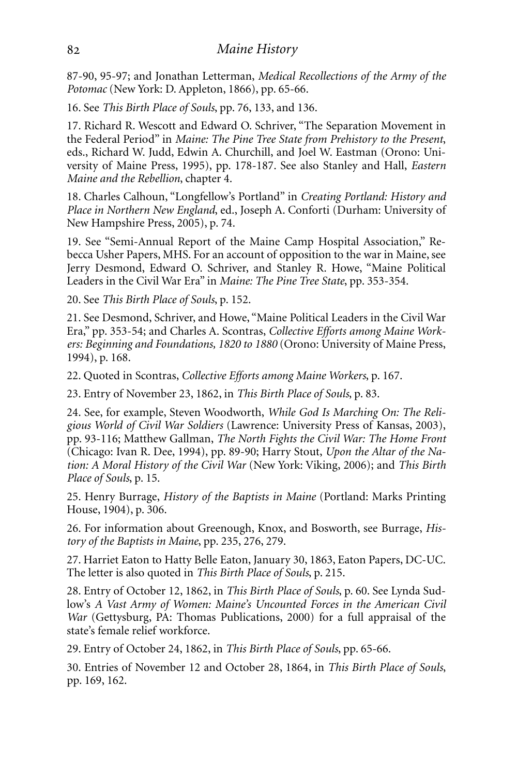87-90, 95-97; and Jonathan Letterman, *Medical Recollections of the Army of the Potomac* (New York: D. Appleton, 1866), pp. 65-66.

16. See *This Birth Place of Souls*, pp. 76, 133, and 136.

17. Richard R. Wescott and Edward O. Schriver, "The Separation Movement in the Federal Period" in *Maine: The Pine Tree State from Prehistory to the Present*, eds., Richard W. Judd, Edwin A. Churchill, and Joel W. Eastman (Orono: University of Maine Press, 1995), pp. 178-187. See also Stanley and Hall, *Eastern Maine and the Rebellion*, chapter 4.

18. Charles Calhoun, "Longfellow's Portland" in *Creating Portland: History and Place in Northern New England*, ed., Joseph A. Conforti (Durham: University of New Hampshire Press, 2005), p. 74.

19. See "Semi-Annual Report of the Maine Camp Hospital Association," Rebecca Usher Papers, MHS. For an account of opposition to the war in Maine, see Jerry Desmond, Edward O. Schriver, and Stanley R. Howe, "Maine Political Leaders in the Civil War Era" in *Maine: The Pine Tree State*, pp. 353-354.

20. See *This Birth Place of Souls*, p. 152.

21. See Desmond, Schriver, and Howe, "Maine Political Leaders in the Civil War Era," pp. 353-54; and Charles A. Scontras, *Collective Efforts among Maine Workers: Beginning and Foundations, 1820 to 1880* (Orono: University of Maine Press, 1994), p. 168.

22. Quoted in Scontras, *Collective Efforts among Maine Workers*, p. 167.

23. Entry of November 23, 1862, in *This Birth Place of Souls*, p. 83.

24. See, for example, Steven Woodworth, *While God Is Marching On: The Religious World of Civil War Soldiers* (Lawrence: University Press of Kansas, 2003), pp. 93-116; Matthew Gallman, *The North Fights the Civil War: The Home Front* (Chicago: Ivan R. Dee, 1994), pp. 89-90; Harry Stout, *Upon the Altar of the Nation: A Moral History of the Civil War* (New York: Viking, 2006); and *This Birth Place of Souls*, p. 15.

25. Henry Burrage, *History of the Baptists in Maine* (Portland: Marks Printing House, 1904), p. 306.

26. For information about Greenough, Knox, and Bosworth, see Burrage, *History of the Baptists in Maine*, pp. 235, 276, 279.

27. Harriet Eaton to Hatty Belle Eaton, January 30, 1863, Eaton Papers, DC-UC. The letter is also quoted in *This Birth Place of Souls*, p. 215.

28. Entry of October 12, 1862, in *This Birth Place of Souls*, p. 60. See Lynda Sudlow's *A Vast Army of Women: Maine's Uncounted Forces in the American Civil War* (Gettysburg, PA: Thomas Publications, 2000) for a full appraisal of the state's female relief workforce.

29. Entry of October 24, 1862, in *This Birth Place of Souls*, pp. 65-66.

30. Entries of November 12 and October 28, 1864, in *This Birth Place of Souls*, pp. 169, 162.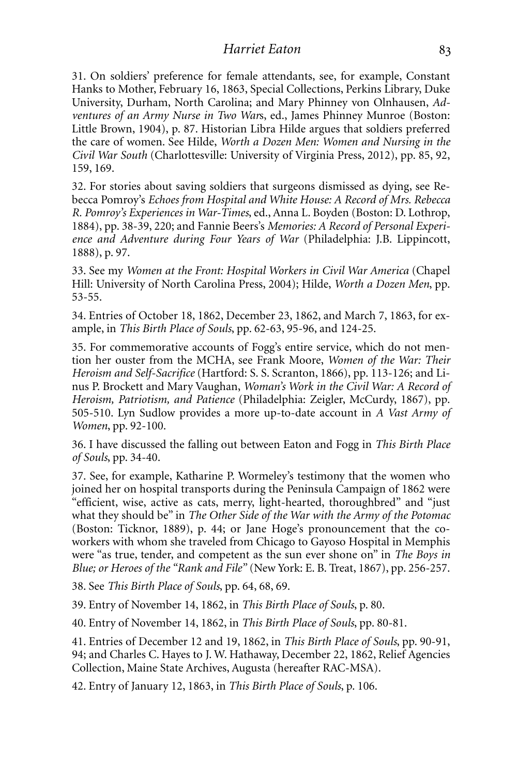31. On soldiers' preference for female attendants, see, for example, Constant Hanks to Mother, February 16, 1863, Special Collections, Perkins Library, Duke University, Durham, North Carolina; and Mary Phinney von Olnhausen, *Adventures of an Army Nurse in Two War*s, ed., James Phinney Munroe (Boston: Little Brown, 1904), p. 87. Historian Libra Hilde argues that soldiers preferred the care of women. See Hilde, *Worth a Dozen Men: Women and Nursing in the Civil War South* (Charlottesville: University of Virginia Press, 2012), pp. 85, 92, 159, 169.

32. For stories about saving soldiers that surgeons dismissed as dying, see Rebecca Pomroy's *Echoes from Hospital and White House: A Record of Mrs. Rebecca R. Pomroy's Experiences in War-Times*, ed., Anna L. Boyden (Boston: D. Lothrop, 1884), pp. 38-39, 220; and Fannie Beers's *Memories: A Record of Personal Experience and Adventure during Four Years of War* (Philadelphia: J.B. Lippincott, 1888), p. 97.

33. See my *Women at the Front: Hospital Workers in Civil War America* (Chapel Hill: University of North Carolina Press, 2004); Hilde, *Worth a Dozen Men*, pp. 53-55.

34. Entries of October 18, 1862, December 23, 1862, and March 7, 1863, for example, in *This Birth Place of Souls*, pp. 62-63, 95-96, and 124-25.

35. For commemorative accounts of Fogg's entire service, which do not mention her ouster from the MCHA, see Frank Moore, *Women of the War: Their Heroism and Self-Sacrifice* (Hartford: S. S. Scranton, 1866), pp. 113-126; and Linus P. Brockett and Mary Vaughan, *Woman's Work in the Civil War: A Record of Heroism, Patriotism, and Patience* (Philadelphia: Zeigler, McCurdy, 1867), pp. 505-510. Lyn Sudlow provides a more up-to-date account in *A Vast Army of Women*, pp. 92-100.

36. I have discussed the falling out between Eaton and Fogg in *This Birth Place of Souls*, pp. 34-40.

37. See, for example, Katharine P. Wormeley's testimony that the women who joined her on hospital transports during the Peninsula Campaign of 1862 were "efficient, wise, active as cats, merry, light-hearted, thoroughbred" and "just what they should be" in *The Other Side of the War with the Army of the Potomac* (Boston: Ticknor, 1889), p. 44; or Jane Hoge's pronouncement that the coworkers with whom she traveled from Chicago to Gayoso Hospital in Memphis were "as true, tender, and competent as the sun ever shone on" in *The Boys in Blue; or Heroes of the "Rank and File"* (New York: E. B. Treat, 1867), pp. 256-257.

38. See *This Birth Place of Souls*, pp. 64, 68, 69.

39. Entry of November 14, 1862, in *This Birth Place of Souls*, p. 80.

40. Entry of November 14, 1862, in *This Birth Place of Souls*, pp. 80-81.

41. Entries of December 12 and 19, 1862, in *This Birth Place of Souls*, pp. 90-91, 94; and Charles C. Hayes to J. W. Hathaway, December 22, 1862, Relief Agencies Collection, Maine State Archives, Augusta (hereafter RAC-MSA).

42. Entry of January 12, 1863, in *This Birth Place of Souls*, p. 106.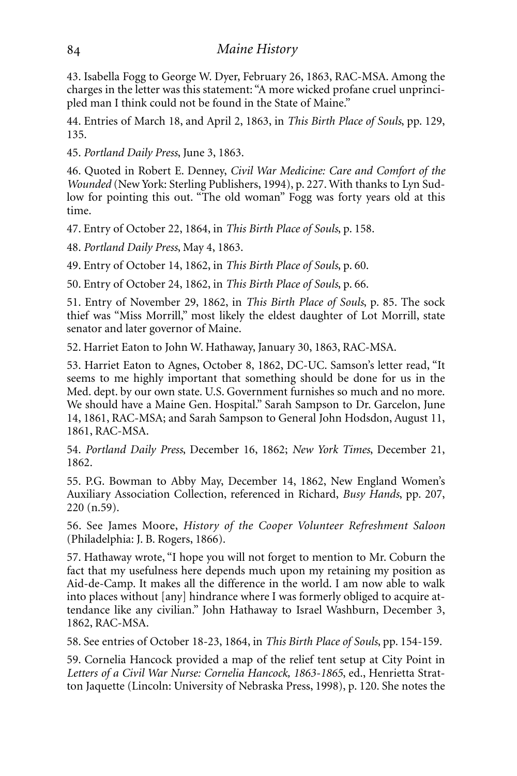43. Isabella Fogg to George W. Dyer, February 26, 1863, RAC-MSA. Among the charges in the letter was this statement: "A more wicked profane cruel unprincipled man I think could not be found in the State of Maine."

44. Entries of March 18, and April 2, 1863, in *This Birth Place of Souls*, pp. 129, 135.

45. *Portland Daily Press*, June 3, 1863.

46. Quoted in Robert E. Denney, *Civil War Medicine: Care and Comfort of the Wounded* (New York: Sterling Publishers, 1994), p. 227. With thanks to Lyn Sudlow for pointing this out. "The old woman" Fogg was forty years old at this time.

47. Entry of October 22, 1864, in *This Birth Place of Souls*, p. 158.

48. *Portland Daily Press*, May 4, 1863.

49. Entry of October 14, 1862, in *This Birth Place of Souls*, p. 60.

50. Entry of October 24, 1862, in *This Birth Place of Souls*, p. 66.

51. Entry of November 29, 1862, in *This Birth Place of Souls*, p. 85. The sock thief was "Miss Morrill," most likely the eldest daughter of Lot Morrill, state senator and later governor of Maine.

52. Harriet Eaton to John W. Hathaway, January 30, 1863, RAC-MSA.

53. Harriet Eaton to Agnes, October 8, 1862, DC-UC. Samson's letter read, "It seems to me highly important that something should be done for us in the Med. dept. by our own state. U.S. Government furnishes so much and no more. We should have a Maine Gen. Hospital." Sarah Sampson to Dr. Garcelon, June 14, 1861, RAC-MSA; and Sarah Sampson to General John Hodsdon, August 11, 1861, RAC-MSA.

54. *Portland Daily Press*, December 16, 1862; *New York Times*, December 21, 1862.

55. P.G. Bowman to Abby May, December 14, 1862, New England Women's Auxiliary Association Collection, referenced in Richard, *Busy Hands*, pp. 207, 220 (n.59).

56. See James Moore, *History of the Cooper Volunteer Refreshment Saloon* (Philadelphia: J. B. Rogers, 1866).

57. Hathaway wrote, "I hope you will not forget to mention to Mr. Coburn the fact that my usefulness here depends much upon my retaining my position as Aid-de-Camp. It makes all the difference in the world. I am now able to walk into places without [any] hindrance where I was formerly obliged to acquire attendance like any civilian." John Hathaway to Israel Washburn, December 3, 1862, RAC-MSA.

58. See entries of October 18-23, 1864, in *This Birth Place of Souls*, pp. 154-159.

59. Cornelia Hancock provided a map of the relief tent setup at City Point in *Letters of a Civil War Nurse: Cornelia Hancock, 1863-1865*, ed., Henrietta Stratton Jaquette (Lincoln: University of Nebraska Press, 1998), p. 120. She notes the